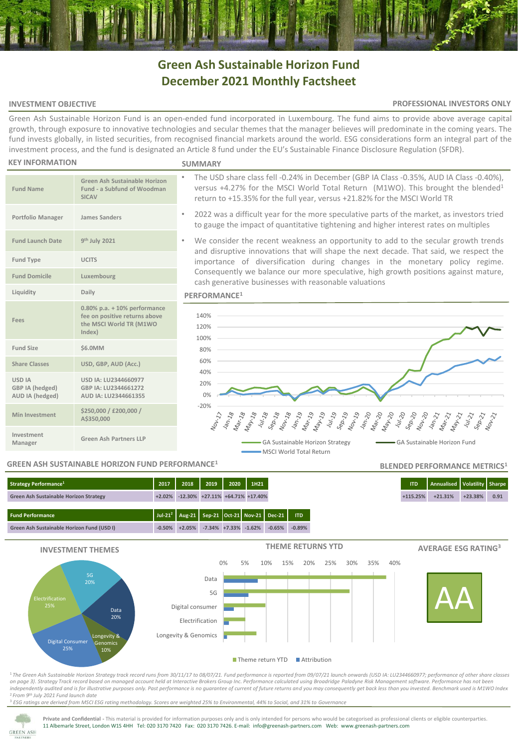# **Green Ash Sustainable Horizon Fund December 2021 Monthly Factsheet**

# **INVESTMENT OBJECTIVE**

### **PROFESSIONAL INVESTORS ONLY**

**BLENDED PERFORMANCE METRICS<sup>1</sup>**

Green Ash Sustainable Horizon Fund is an open-ended fund incorporated in Luxembourg. The fund aims to provide above average capital growth, through exposure to innovative technologies and secular themes that the manager believes will predominate in the coming years. The fund invests globally, in listed securities, from recognised financial markets around the world. ESG considerations form an integral part of the investment process, and the fund is designated an Article 8 fund under the EU's Sustainable Finance Disclosure Regulation (SFDR).

#### **KEY INFORMATION**

**Fund Name**

**Fund Launch Date** 

**Fees**

**USD IA GBP IA (hedged) AUD IA (hedged)**

**Investment** 

#### **SUMMARY**

- The USD share class fell -0.24% in December (GBP IA Class -0.35%, AUD IA Class -0.40%), versus +4.27% for the MSCI World Total Return (M1WO). This brought the blended<sup>1</sup> return to +15.35% for the full year, versus +21.82% for the MSCI World TR
- 2022 was a difficult year for the more speculative parts of the market, as investors tried to gauge the impact of quantitative tightening and higher interest rates on multiples
- We consider the recent weakness an opportunity to add to the secular growth trends and disruptive innovations that will shape the next decade. That said, we respect the importance of diversification during changes in the monetary policy regime. Consequently we balance our more speculative, high growth positions against mature, cash generative businesses with reasonable valuations

# **PERFORMANCE<sup>1</sup>**



# **GREEN ASH SUSTAINABLE HORIZON FUND PERFORMANCE<sup>1</sup>**

**Manager Green Ash Partners LLP**

**USD IA: LU2344660977 GBP IA: LU2344661272 AUD IA: LU2344661355**

**Green Ash Sustainable Horizon Fund - a Subfund of Woodman** 

**0.80% p.a. + 10% performance fee on positive returns above the MSCI World TR (M1WO** 

**SICAV**

**th July 2021**

**Index)**

**Share Classes USD, GBP, AUD (Acc.)**

**Min Investment \$250,000 / £200,000 /** 

**A\$350,000**

**Portfolio Manager James Sanders**

**Fund Type UCITS Fund Domicile Luxembourg Liquidity Daily**

**Fund Size \$6.0MM**

| <b>Strategy Performance</b> <sup>1</sup>      | 2017 2018                              | 2019                      | $2020$ 1H21 |                                                                        |
|-----------------------------------------------|----------------------------------------|---------------------------|-------------|------------------------------------------------------------------------|
| <b>Green Ash Sustainable Horizon Strategy</b> | +2.02% -12.30% +27.11% +64.71% +17.40% |                           |             |                                                                        |
| <b>Fund Performance</b>                       |                                        |                           |             | Jul-21 <sup>2</sup>   Aug-21   Sep-21   Oct-21   Nov-21   Dec-21   ITD |
| Green Ash Sustainable Horizon Fund (USD I)    | $-0.50\%$ $+2.05\%$                    | $-7.34\% +7.33\% -1.62\%$ |             | $-0.65%$<br>$-0.89%$                                                   |



<sup>1</sup>*The Green Ash Sustainable Horizon Strategy track record runs from 30/11/17 to 08/07/21. Fund performance is reported from 09/07/21 launch onwards (USD IA: LU2344660977; performance of other share classes on page 3)*. *Strategy Track record based on managed account held at Interactive Brokers Group Inc. Performance calculated using Broadridge Paladyne Risk Management software. Performance has not been independently audited and is for illustrative purposes only. Past performance is no guarantee of current of future returns and you may consequently get back less than you invested. Benchmark used is M1WO Index* <sup>2</sup>*From 9th July 2021 Fund launch date*

<sup>3</sup> *ESG ratings are derived from MSCI ESG rating methodology. Scores are weighted 25% to Environmental, 44% to Social, and 31% to Governance*



Private and Confidential - This material is provided for information purposes only and is only intended for persons who would be categorised as professional clients or eligible counterparties. 11 Albemarle Street, London W1S 4HH Tel: 020 3170 7420 Fax: 020 3170 7426. E-mail: info@greenash-partners.com Web: www.greenash-partners.com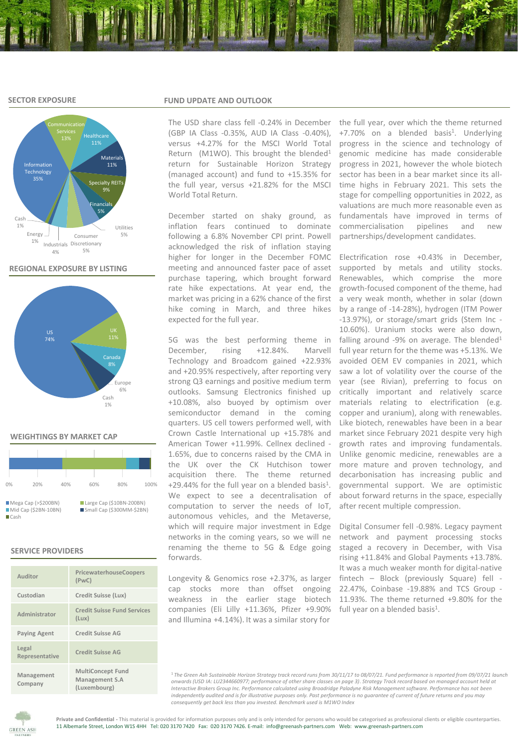# **SECTOR EXPOSURE**



**REGIONAL EXPOSURE BY LISTING**



### **WEIGHTINGS BY MARKET CAP**

| 0%                                                            | 20% | 40% | 60%                                                   | 80% | 100% |  |  |  |  |  |
|---------------------------------------------------------------|-----|-----|-------------------------------------------------------|-----|------|--|--|--|--|--|
| Mega Cap (> \$200BN)<br>Mid Cap (\$2BN-10BN)<br><b>■</b> Cash |     |     | Large Cap (\$10BN-200BN)<br>Small Cap (\$300MM-\$2BN) |     |      |  |  |  |  |  |

# **SERVICE PROVIDERS**

| Auditor                 | PricewaterhouseCoopers<br>(PWC)                            |
|-------------------------|------------------------------------------------------------|
| Custodian               | Credit Suisse (Lux)                                        |
| Administrator           | <b>Credit Suisse Fund Services</b><br>(Lux)                |
| <b>Paying Agent</b>     | <b>Credit Suisse AG</b>                                    |
| Legal<br>Representative | <b>Credit Suisse AG</b>                                    |
| Management<br>Company   | <b>MultiConcept Fund</b><br>Management S.A<br>(Luxembourg) |

# **FUND UPDATE AND OUTLOOK**

The USD share class fell -0.24% in December (GBP IA Class -0.35%, AUD IA Class -0.40%), versus +4.27% for the MSCI World Total Return (M1WO). This brought the blended<sup>1</sup> return for Sustainable Horizon Strategy (managed account) and fund to +15.35% for the full year, versus +21.82% for the MSCI World Total Return.

December started on shaky ground, as inflation fears continued to dominate following a 6.8% November CPI print. Powell acknowledged the risk of inflation staying higher for longer in the December FOMC meeting and announced faster pace of asset purchase tapering, which brought forward rate hike expectations. At year end, the market was pricing in a 62% chance of the first hike coming in March, and three hikes expected for the full year.

5G was the best performing theme in December, rising +12.84%. Marvell Technology and Broadcom gained +22.93% and +20.95% respectively, after reporting very strong Q3 earnings and positive medium term outlooks. Samsung Electronics finished up +10.08%, also buoyed by optimism over semiconductor demand in the coming quarters. US cell towers performed well, with Crown Castle International up +15.78% and American Tower +11.99%. Cellnex declined - 1.65%, due to concerns raised by the CMA in the UK over the CK Hutchison tower acquisition there. The theme returned  $+29.44\%$  for the full year on a blended basis<sup>1</sup>. We expect to see a decentralisation of computation to server the needs of IoT, autonomous vehicles, and the Metaverse, which will require major investment in Edge networks in the coming years, so we will ne renaming the theme to 5G & Edge going forwards.

Longevity & Genomics rose +2.37%, as larger cap stocks more than offset ongoing 22.47%, Coinbase -19.88% and TCS Group weakness in the earlier stage biotech companies (Eli Lilly +11.36%, Pfizer +9.90% full year on a blended basis<sup>1</sup>. and Illumina +4.14%). It was a similar story for

the full year, over which the theme returned +7.70% on a blended basis<sup>1</sup>. Underlying progress in the science and technology of genomic medicine has made considerable progress in 2021, however the whole biotech sector has been in a bear market since its alltime highs in February 2021. This sets the stage for compelling opportunities in 2022, as valuations are much more reasonable even as fundamentals have improved in terms of commercialisation pipelines and new partnerships/development candidates.

Electrification rose +0.43% in December, supported by metals and utility stocks. Renewables, which comprise the more growth-focused component of the theme, had a very weak month, whether in solar (down by a range of -14-28%), hydrogen (ITM Power -13.97%), or storage/smart grids (Stem Inc - 10.60%). Uranium stocks were also down, falling around -9% on average. The blended $1$ full year return for the theme was +5.13%. We avoided OEM EV companies in 2021, which saw a lot of volatility over the course of the year (see Rivian), preferring to focus on critically important and relatively scarce materials relating to electrification (e.g. copper and uranium), along with renewables. Like biotech, renewables have been in a bear market since February 2021 despite very high growth rates and improving fundamentals. Unlike genomic medicine, renewables are a more mature and proven technology, and decarbonisation has increasing public and governmental support. We are optimistic about forward returns in the space, especially after recent multiple compression.

Digital Consumer fell -0.98%. Legacy payment network and payment processing stocks staged a recovery in December, with Visa rising +11.84% and Global Payments +13.78%. It was a much weaker month for digital-native fintech – Block (previously Square) fell - 11.93%. The theme returned +9.80% for the

<sup>1</sup>*The Green Ash Sustainable Horizon Strategy track record runs from 30/11/17 to 08/07/21. Fund performance is reported from 09/07/21 launch onwards (USD IA: LU2344660977; performance of other share classes on page 3)*. *Strategy Track record based on managed account held at Interactive Brokers Group Inc. Performance calculated using Broadridge Paladyne Risk Management software. Performance has not been independently audited and is for illustrative purposes only. Past performance is no guarantee of current of future returns and you may consequently get back less than you invested. Benchmark used is M1WO Index*

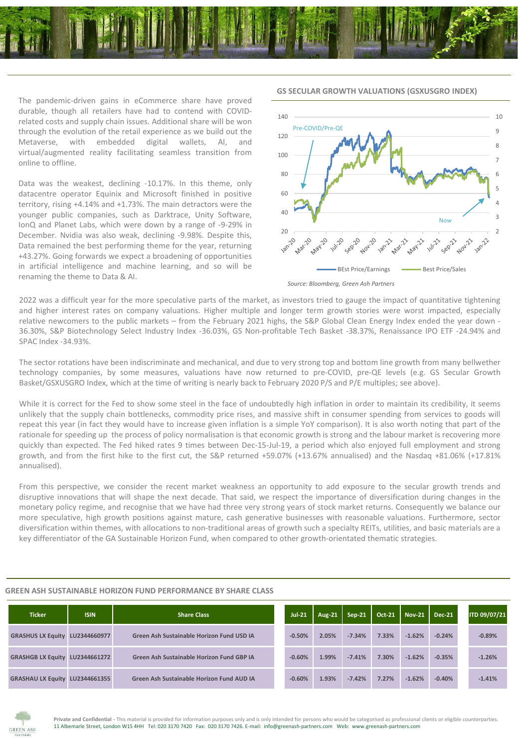

The pandemic-driven gains in eCommerce share have proved durable, though all retailers have had to contend with COVIDrelated costs and supply chain issues. Additional share will be won through the evolution of the retail experience as we build out the Metaverse, with embedded digital wallets, AI, and virtual/augmented reality facilitating seamless transition from online to offline.

Data was the weakest, declining -10.17%. In this theme, only datacentre operator Equinix and Microsoft finished in positive territory, rising +4.14% and +1.73%. The main detractors were the younger public companies, such as Darktrace, Unity Software, IonQ and Planet Labs, which were down by a range of -9-29% in December. Nvidia was also weak, declining -9.98%. Despite this, Data remained the best performing theme for the year, returning +43.27%. Going forwards we expect a broadening of opportunities in artificial intelligence and machine learning, and so will be renaming the theme to Data & AI.

5 6 7 8 9 10 80 100 120 140 Pre-COVID/Pre-QE

**GS SECULAR GROWTH VALUATIONS (GSXUSGRO INDEX)**

BEst Price/Earnings Best Price/Sales

Now

 $\overline{2}$ 3 4



2022 was a difficult year for the more speculative parts of the market, as investors tried to gauge the impact of quantitative tightening and higher interest rates on company valuations. Higher multiple and longer term growth stories were worst impacted, especially relative newcomers to the public markets – from the February 2021 highs, the S&P Global Clean Energy Index ended the year down - 36.30%, S&P Biotechnology Select Industry Index -36.03%, GS Non-profitable Tech Basket -38.37%, Renaissance IPO ETF -24.94% and SPAC Index -34.93%.

20 -

**Marzo** 

40 60

The sector rotations have been indiscriminate and mechanical, and due to very strong top and bottom line growth from many bellwether technology companies, by some measures, valuations have now returned to pre-COVID, pre-QE levels (e.g. GS Secular Growth Basket/GSXUSGRO Index, which at the time of writing is nearly back to February 2020 P/S and P/E multiples; see above).

While it is correct for the Fed to show some steel in the face of undoubtedly high inflation in order to maintain its credibility, it seems unlikely that the supply chain bottlenecks, commodity price rises, and massive shift in consumer spending from services to goods will repeat this year (in fact they would have to increase given inflation is a simple YoY comparison). It is also worth noting that part of the rationale for speeding up the process of policy normalisation is that economic growth is strong and the labour market is recovering more quickly than expected. The Fed hiked rates 9 times between Dec-15-Jul-19, a period which also enjoyed full employment and strong growth, and from the first hike to the first cut, the S&P returned +59.07% (+13.67% annualised) and the Nasdaq +81.06% (+17.81% annualised).

From this perspective, we consider the recent market weakness an opportunity to add exposure to the secular growth trends and disruptive innovations that will shape the next decade. That said, we respect the importance of diversification during changes in the monetary policy regime, and recognise that we have had three very strong years of stock market returns. Consequently we balance our more speculative, high growth positions against mature, cash generative businesses with reasonable valuations. Furthermore, sector diversification within themes, with allocations to non-traditional areas of growth such a specialty REITs, utilities, and basic materials are a key differentiator of the GA Sustainable Horizon Fund, when compared to other growth-orientated thematic strategies.

### **GREEN ASH SUSTAINABLE HORIZON FUND PERFORMANCE BY SHARE CLASS**

| <b>Ticker</b>                         | <b>ISIN</b> | <b>Share Class</b>                        | $Jul-21$ | <b>Aug-21</b> | $Sep-21$ | $\overline{OCt}$ -21 | Nov-21   | Dec-21   | ITD 09/07/21 |
|---------------------------------------|-------------|-------------------------------------------|----------|---------------|----------|----------------------|----------|----------|--------------|
| GRASHUS LX Equity LU2344660977        |             | Green Ash Sustainable Horizon Fund USD IA | $-0.50%$ | 2.05%         | $-7.34%$ | 7.33%                | $-1.62%$ | $-0.24%$ | $-0.89%$     |
| <b>GRASHGB LX Equity LU2344661272</b> |             | Green Ash Sustainable Horizon Fund GBP IA | $-0.60%$ | 1.99%         | $-7.41%$ | 7.30%                | $-1.62%$ | $-0.35%$ | $-1.26%$     |
| GRASHAU LX Equity LU2344661355        |             | Green Ash Sustainable Horizon Fund AUD IA | $-0.60%$ | 1.93%         | $-7.42%$ | 7.27%                | $-1.62%$ | $-0.40%$ | $-1.41%$     |